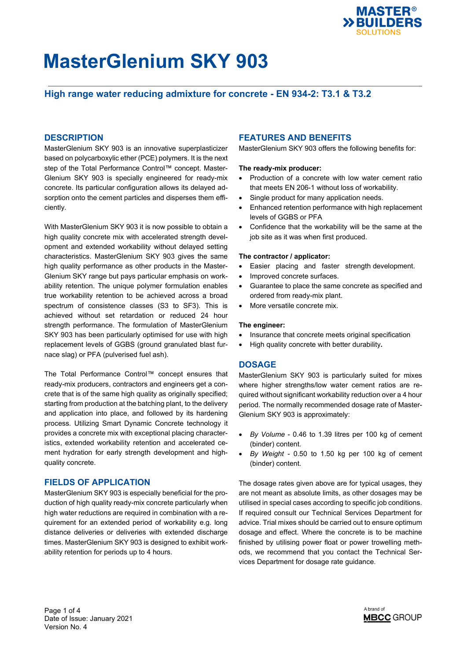

## **High range water reducing admixture for concrete - EN 934-2: T3.1 & T3.2**

### **DESCRIPTION**

MasterGlenium SKY 903 is an innovative superplasticizer based on polycarboxylic ether (PCE) polymers. It is the next step of the Total Performance Control™ concept. Master-Glenium SKY 903 is specially engineered for ready-mix concrete. Its particular configuration allows its delayed adsorption onto the cement particles and disperses them efficiently.

With MasterGlenium SKY 903 it is now possible to obtain a high quality concrete mix with accelerated strength development and extended workability without delayed setting characteristics. MasterGlenium SKY 903 gives the same high quality performance as other products in the Master-Glenium SKY range but pays particular emphasis on workability retention. The unique polymer formulation enables true workability retention to be achieved across a broad spectrum of consistence classes (S3 to SF3). This is achieved without set retardation or reduced 24 hour strength performance. The formulation of MasterGlenium SKY 903 has been particularly optimised for use with high replacement levels of GGBS (ground granulated blast furnace slag) or PFA (pulverised fuel ash).

The Total Performance Control™ concept ensures that ready-mix producers, contractors and engineers get a concrete that is of the same high quality as originally specified; starting from production at the batching plant, to the delivery and application into place, and followed by its hardening process. Utilizing Smart Dynamic Concrete technology it provides a concrete mix with exceptional placing characteristics, extended workability retention and accelerated cement hydration for early strength development and highquality concrete.

### **FIELDS OF APPLICATION**

MasterGlenium SKY 903 is especially beneficial for the production of high quality ready-mix concrete particularly when high water reductions are required in combination with a requirement for an extended period of workability e.g. long distance deliveries or deliveries with extended discharge times. MasterGlenium SKY 903 is designed to exhibit workability retention for periods up to 4 hours.

### **FEATURES AND BENEFITS**

MasterGlenium SKY 903 offers the following benefits for:

#### **The ready-mix producer:**

- Production of a concrete with low water cement ratio that meets EN 206-1 without loss of workability.
- Single product for many application needs.
- Enhanced retention performance with high replacement levels of GGBS or PFA
- Confidence that the workability will be the same at the job site as it was when first produced.

#### **The contractor / applicator:**

- Easier placing and faster strength development.
- Improved concrete surfaces.
- Guarantee to place the same concrete as specified and ordered from ready-mix plant.
- More versatile concrete mix.

#### **The engineer:**

- Insurance that concrete meets original specification
- High quality concrete with better durability**.**

### **DOSAGE**

MasterGlenium SKY 903 is particularly suited for mixes where higher strengths/low water cement ratios are required without significant workability reduction over a 4 hour period. The normally recommended dosage rate of Master-Glenium SKY 903 is approximately:

- *By Volume* 0.46 to 1.39 litres per 100 kg of cement (binder) content.
- *By Weight* 0.50 to 1.50 kg per 100 kg of cement (binder) content.

The dosage rates given above are for typical usages, they are not meant as absolute limits, as other dosages may be utilised in special cases according to specific job conditions. If required consult our Technical Services Department for advice. Trial mixes should be carried out to ensure optimum dosage and effect. Where the concrete is to be machine finished by utilising power float or power trowelling methods, we recommend that you contact the Technical Services Department for dosage rate guidance.

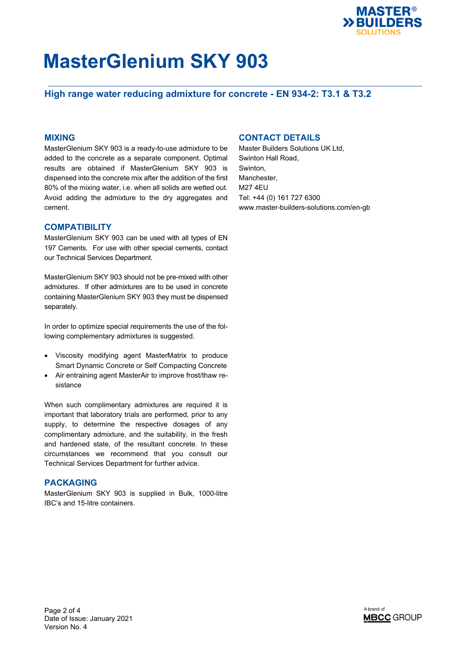

## **High range water reducing admixture for concrete - EN 934-2: T3.1 & T3.2**

### **MIXING**

MasterGlenium SKY 903 is a ready-to-use admixture to be added to the concrete as a separate component. Optimal results are obtained if MasterGlenium SKY 903 is dispensed into the concrete mix after the addition of the first 80% of the mixing water, i.e. when all solids are wetted out. Avoid adding the admixture to the dry aggregates and cement.

### **COMPATIBILITY**

MasterGlenium SKY 903 can be used with all types of EN 197 Cements. For use with other special cements, contact our Technical Services Department.

MasterGlenium SKY 903 should not be pre-mixed with other admixtures. If other admixtures are to be used in concrete containing MasterGlenium SKY 903 they must be dispensed separately.

In order to optimize special requirements the use of the following complementary admixtures is suggested.

- Viscosity modifying agent MasterMatrix to produce Smart Dynamic Concrete or Self Compacting Concrete
- Air entraining agent MasterAir to improve frost/thaw resistance

When such complimentary admixtures are required it is important that laboratory trials are performed, prior to any supply, to determine the respective dosages of any complimentary admixture, and the suitability, in the fresh and hardened state, of the resultant concrete. In these circumstances we recommend that you consult our Technical Services Department for further advice.

#### **PACKAGING**

MasterGlenium SKY 903 is supplied in Bulk, 1000-litre IBC's and 15-litre containers.

## **CONTACT DETAILS**

Master Builders Solutions UK Ltd, Swinton Hall Road, Swinton, Manchester, M27 4EU Tel: +44 (0) 161 727 6300 www.master-builders-solutions.com/en-gb

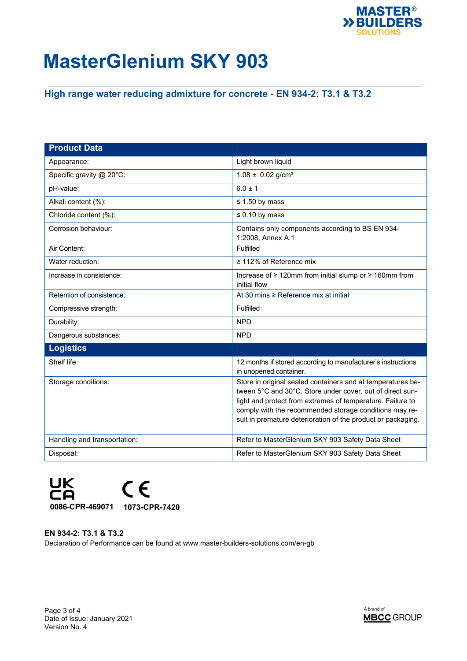

## **High range water reducing admixture for concrete - EN 934-2: T3.1 & T3.2**

| <b>Product Data</b>          |                                                                                                                                                                                                                                                                                                                  |
|------------------------------|------------------------------------------------------------------------------------------------------------------------------------------------------------------------------------------------------------------------------------------------------------------------------------------------------------------|
| Appearance:                  | Light brown liquid                                                                                                                                                                                                                                                                                               |
| Specific gravity @ 20°C:     | $1.08 \pm 0.02$ g/cm <sup>3</sup>                                                                                                                                                                                                                                                                                |
| pH-value:                    | $6.0 \pm 1$                                                                                                                                                                                                                                                                                                      |
| Alkali content (%):          | $\leq$ 1.50 by mass                                                                                                                                                                                                                                                                                              |
| Chloride content (%):        | $\leq 0.10$ by mass                                                                                                                                                                                                                                                                                              |
| Corrosion behaviour:         | Contains only components according to BS EN 934-<br>1:2008, Annex A.1                                                                                                                                                                                                                                            |
| Air Content:                 | Fulfilled                                                                                                                                                                                                                                                                                                        |
| Water reduction:             | $\geq$ 112% of Reference mix                                                                                                                                                                                                                                                                                     |
| Increase in consistence:     | Increase of ≥ 120mm from initial slump or ≥ 160mm from<br>initial flow                                                                                                                                                                                                                                           |
| Retention of consistence:    | At 30 mins $\geq$ Reference mix at initial                                                                                                                                                                                                                                                                       |
| Compressive strength:        | Fulfilled                                                                                                                                                                                                                                                                                                        |
| Durability:                  | <b>NPD</b>                                                                                                                                                                                                                                                                                                       |
| Dangerous substances:        | <b>NPD</b>                                                                                                                                                                                                                                                                                                       |
| <b>Logistics</b>             |                                                                                                                                                                                                                                                                                                                  |
| Shelf life:                  | 12 months if stored according to manufacturer's instructions<br>in unopened container.                                                                                                                                                                                                                           |
| Storage conditions:          | Store in original sealed containers and at temperatures be-<br>tween 5°C and 30°C. Store under cover, out of direct sun-<br>light and protect from extremes of temperature. Failure to<br>comply with the recommended storage conditions may re-<br>sult in premature deterioration of the product or packaging. |
| Handling and transportation: | Refer to MasterGlenium SKY 903 Safety Data Sheet                                                                                                                                                                                                                                                                 |
| Disposal:                    | Refer to MasterGlenium SKY 903 Safety Data Sheet                                                                                                                                                                                                                                                                 |



## **EN 934-2: T3.1 & T3.2**

Declaration of Performance can be found at www.master-builders-solutions.com/en-gb